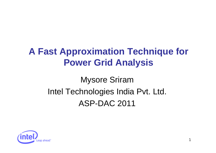# **A Fast Approximation Technique for Power Grid Analysis**

# Mysore Sriram Intel Technologies India Pvt. Ltd. ASP-DAC 2011

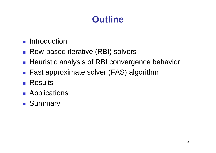## **Outline**

- **Reduction**
- Row-based iterative (RBI) solvers
- **Heuristic analysis of RBI convergence behavior**
- Fast approximate solver (FAS) algorithm
- **Results**
- **Applications**
- **Bummary**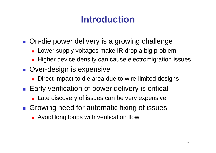## **Introduction**

- **On-die power delivery is a growing challenge** 
	- Lower supply voltages make IR drop a big problem
	- Higher device density can cause electromigration issues
- **Over-design is expensive** 
	- $\mathcal{L}_{\mathcal{A}}$ Direct impact to die area due to wire-limited designs
- **Early verification of power delivery is critical** 
	- **Late discovery of issues can be very expensive**
- **Growing need for automatic fixing of issues** 
	- **Avoid long loops with verification flow**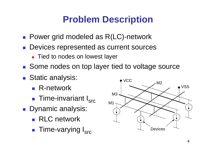# **Problem Description**

- Power grid modeled as R(LC)-network
- **Devices represented as current sources** 
	- **Tied to nodes on lowest layer**
- Some nodes on top layer tied to voltage source
- **Static analysis:** 
	- R-network
	- H **Time-invariant I<sub>src</sub>**
- Dynamic analysis:
	- **RLC** network
	- П ■ Time-varying I<sub>src</sub>

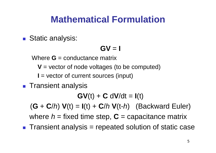### **Mathematical Formulation**

**Static analysis:** 

### **GV** <sup>=</sup>**I**

Where **G** = conductance matrix

**V** = vector of node voltages (to be computed)

**I** = vector of current sources (input)

### **Transient analysis**

**GV**(t) + **C** d **V**/dt = **I**(t)

 $(G + C/h) V(t) = I(t) + C/h V(t-h)$  (Backward Euler) where  $h$  = fixed time step,  $C$  = capacitance matrix

 $\blacksquare$  Transient analysis = repeated solution of static case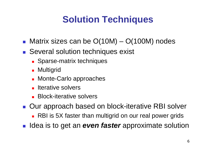# **Solution Techniques**

- Matrix sizes can be O(10M) O(100M) nodes
- **Several solution techniques exist** 
	- **Sparse-matrix techniques**
	- **Multigrid**
	- **Monte-Carlo approaches**
	- **Iterative solvers**
	- **Block-iterative solvers**
- Our approach based on block-iterative RBI solver
	- RBI is 5X faster than multigrid on our real power grids
- $\mathcal{L}^{\text{max}}_{\text{max}}$ Idea is to get an *even faster* approximate solution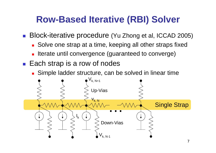## **Row-Based Iterative (RBI) Solver**

H Block-iterative procedure (Yu Zhong et al, ICCAD 2005)

- П Solve one strap at a time, keeping all other straps fixed
- П Iterate until convergence (guaranteed to converge)
- Each strap is a row of nodes
	- П Simple ladder structure, can be solved in linear time

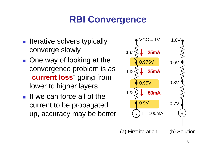# **RBI Convergence**

- **Iterative solvers typically** converge slowly
- One way of looking at the convergence problem is as "**current loss**" going from lower to higher layers
- If we can force all of the current to be propagated up, accuracy may be better

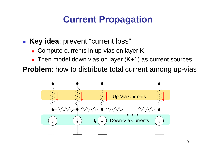# **Current Propagation**

#### П **Key idea**: prevent "current loss"

- × Compute currents in up-vias on layer K,
- × Then model down vias on layer (K+1) as current sources

**Problem**: how to distribute total current among up-vias

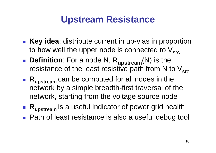### **Upstream Resistance**

- **Key idea**: distribute current in up-vias in proportion to how well the upper node is connected to  $V_{src}$
- **Definition**: For a node N,  $R_{upstream}(N)$  is the resistance of the least resistive path from N to  $V_{src}$
- **Rupstream** can be computed for all nodes in the network by a simple breadth-first traversal of the network, starting from the voltage source node
- **Rupstream** is a useful indicator of power grid health
- Path of least resistance is also a useful debug tool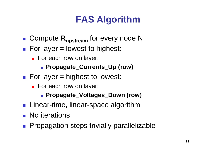# **FAS Algorithm**

- **E** Compute  $\mathsf{R}_{\mathsf{upstream}}$  for every node N
- For layer = lowest to highest:
	- For each row on layer:
		- **Propagate\_Currents\_Up (row)**
- $\blacksquare$  For layer = highest to lowest:
	- For each row on layer:
		- **Propagate\_Voltages\_Down (row)**
- $\blacksquare$  Linear-time, linear-space algorithm
- **No** iterations
- **Propagation steps trivially parallelizable**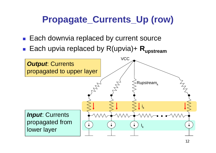# **Propagate\_Currents\_Up (row)**

- Each downvia replaced by current source
- H ■ Each upvia replaced by R(upvia)+ R<sub>upstream</sub>

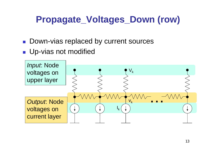# **Propagate\_Voltages\_Down (row)**

- Down-vias replaced by current sources
- **Up-vias not modified**

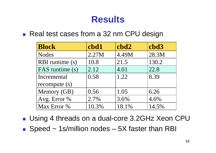### **Results**

■ Real test cases from a 32 nm CPU design

| <b>Block</b>    | cbd1  | cbd2  | cbd3  |
|-----------------|-------|-------|-------|
| <b>Nodes</b>    | 2.27M | 4.49M | 28.3M |
| RBI runtime (s) | 10.8  | 21.5  | 130.2 |
| FAS runtime (s) | 2.12  | 4.01  | 22.8  |
| Incremental     | 0.58  | 1.22  | 8.39  |
| recompute $(s)$ |       |       |       |
| Memory (GB)     | 0.56  | 1.05  | 6.26  |
| Avg. Error %    | 2.7%  | 3.6%  | 4.6%  |
| Max Error %     | 10.3% | 18.1% | 14.5% |

■ Using 4 threads on a dual-core 3.2GHz Xeon CPU

■ Speed ~ 1s/million nodes – 5X faster than RBI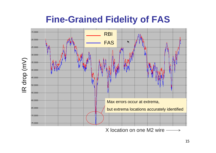### **Fine-Grained Fidelity of FAS**



IR drop (mV)

IR drop (mV)

X location on one M2 wire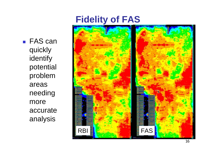### **Fidelity of FAS**

■ FAS can quickly identify potential problem areas needing more accurate analysis

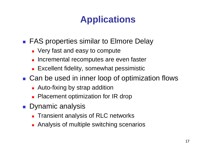# **Applications**

■ FAS properties similar to Elmore Delay

- **Very fast and easy to compute**
- $\blacksquare$ Incremental recomputes are even faster
- **Excellent fidelity, somewhat pessimistic**
- Can be used in inner loop of optimization flows
	- **Auto-fixing by strap addition**
	- $\mathbf{r}$ Placement optimization for IR drop
- Dynamic analysis
	- **Transient analysis of RLC networks**
	- **Analysis of multiple switching scenarios**